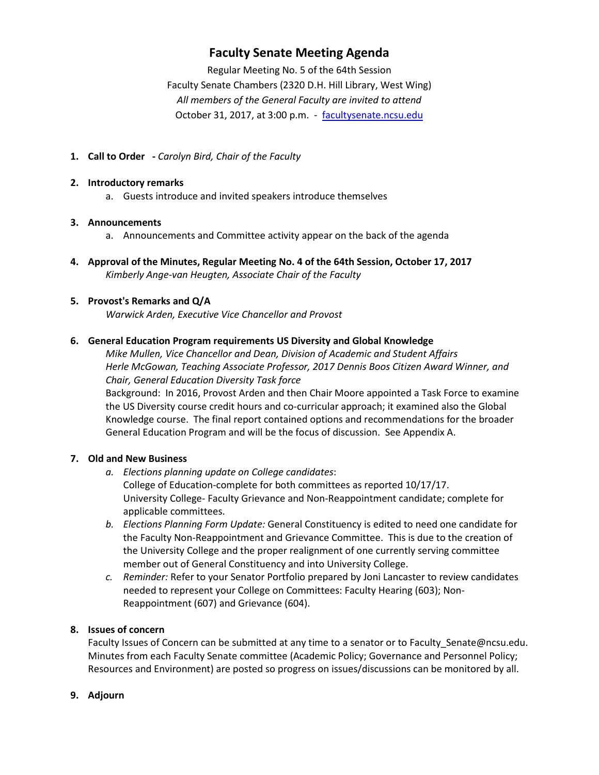## **Faculty Senate Meeting Agenda**

Regular Meeting No. 5 of the 64th Session Faculty Senate Chambers (2320 D.H. Hill Library, West Wing) *All members of the General Faculty are invited to attend* October 31, 2017, at 3:00 p.m. - [facultysenate.ncsu.edu](https://facultysenate.ncsu.edu/)

**1. Call to Order -** *Carolyn Bird, Chair of the Faculty*

#### **2. Introductory remarks**

a. Guests introduce and invited speakers introduce themselves

#### **3. Announcements**

- a. Announcements and Committee activity appear on the back of the agenda
- **4. Approval of the Minutes, Regular Meeting No. 4 of the 64th Session, October 17, 2017** *Kimberly Ange-van Heugten, Associate Chair of the Faculty*

## **5. Provost's Remarks and Q/A**

*Warwick Arden, Executive Vice Chancellor and Provost*

#### **6. General Education Program requirements US Diversity and Global Knowledge**

*Mike Mullen, Vice Chancellor and Dean, Division of Academic and Student Affairs Herle McGowan, Teaching Associate Professor, 2017 Dennis Boos Citizen Award Winner, and Chair, General Education Diversity Task force*

Background: In 2016, Provost Arden and then Chair Moore appointed a Task Force to examine the US Diversity course credit hours and co-curricular approach; it examined also the Global Knowledge course. The final report contained options and recommendations for the broader General Education Program and will be the focus of discussion. See Appendix A.

## **7. Old and New Business**

- *a. Elections planning update on College candidates*: College of Education-complete for both committees as reported 10/17/17. University College- Faculty Grievance and Non-Reappointment candidate; complete for applicable committees.
- *b. Elections Planning Form Update:* General Constituency is edited to need one candidate for the Faculty Non-Reappointment and Grievance Committee. This is due to the creation of the University College and the proper realignment of one currently serving committee member out of General Constituency and into University College.
- *c. Reminder:* Refer to your Senator Portfolio prepared by Joni Lancaster to review candidates needed to represent your College on Committees: Faculty Hearing (603); Non-Reappointment (607) and Grievance (604).

## **8. Issues of concern**

Faculty Issues of Concern can be submitted at any time to a senator or to Faculty Senate@ncsu.edu. Minutes from each Faculty Senate committee (Academic Policy; Governance and Personnel Policy; Resources and Environment) are posted so progress on issues/discussions can be monitored by all.

## **9. Adjourn**